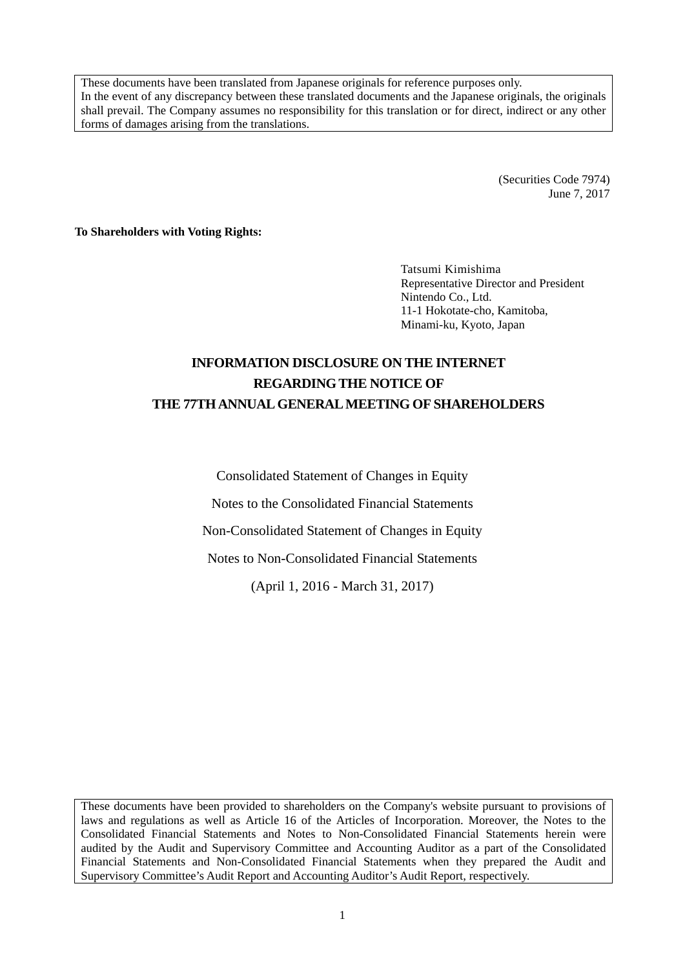These documents have been translated from Japanese originals for reference purposes only. In the event of any discrepancy between these translated documents and the Japanese originals, the originals shall prevail. The Company assumes no responsibility for this translation or for direct, indirect or any other forms of damages arising from the translations.

> (Securities Code 7974) June 7, 2017

**To Shareholders with Voting Rights:** 

Tatsumi Kimishima Representative Director and President Nintendo Co., Ltd. 11-1 Hokotate-cho, Kamitoba, Minami-ku, Kyoto, Japan

# **INFORMATION DISCLOSURE ON THE INTERNET REGARDING THE NOTICE OF THE 77TH ANNUAL GENERAL MEETING OF SHAREHOLDERS**

Consolidated Statement of Changes in Equity

Notes to the Consolidated Financial Statements

Non-Consolidated Statement of Changes in Equity

Notes to Non-Consolidated Financial Statements

(April 1, 2016 - March 31, 2017)

These documents have been provided to shareholders on the Company's website pursuant to provisions of laws and regulations as well as Article 16 of the Articles of Incorporation. Moreover, the Notes to the Consolidated Financial Statements and Notes to Non-Consolidated Financial Statements herein were audited by the Audit and Supervisory Committee and Accounting Auditor as a part of the Consolidated Financial Statements and Non-Consolidated Financial Statements when they prepared the Audit and Supervisory Committee's Audit Report and Accounting Auditor's Audit Report, respectively.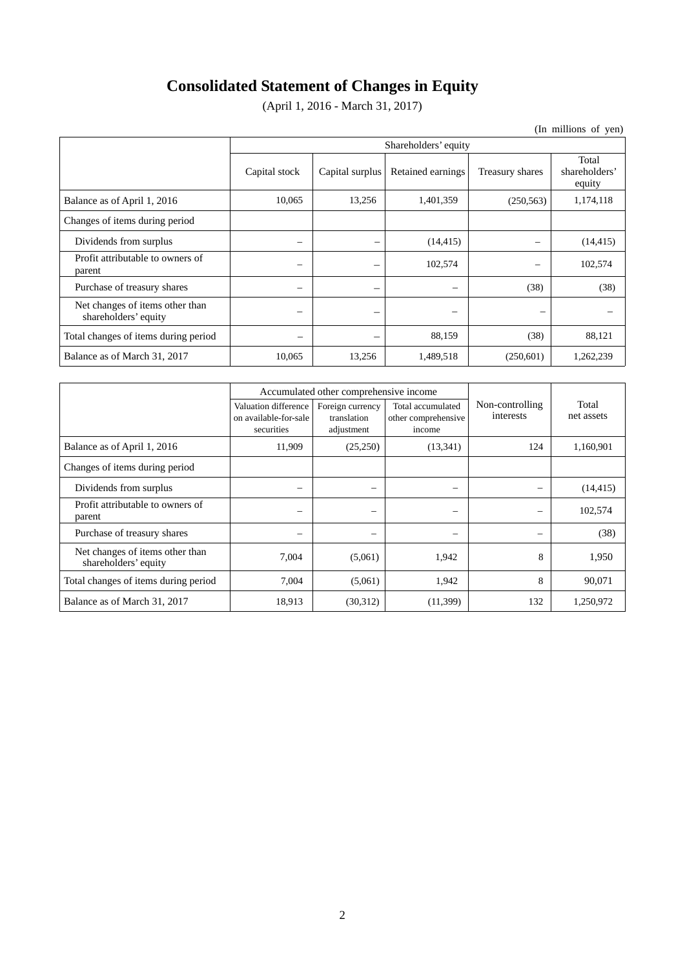# **Consolidated Statement of Changes in Equity**

(April 1, 2016 - March 31, 2017)

(In millions of yen)

|                                                         | Shareholders' equity |                          |                   |                          |                                  |  |  |
|---------------------------------------------------------|----------------------|--------------------------|-------------------|--------------------------|----------------------------------|--|--|
|                                                         | Capital stock        | Capital surplus          | Retained earnings | Treasury shares          | Total<br>shareholders'<br>equity |  |  |
| Balance as of April 1, 2016                             | 10,065               | 13,256                   | 1,401,359         | (250, 563)               | 1,174,118                        |  |  |
| Changes of items during period                          |                      |                          |                   |                          |                                  |  |  |
| Dividends from surplus                                  | -                    |                          | (14, 415)         | -                        | (14, 415)                        |  |  |
| Profit attributable to owners of<br>parent              | -                    |                          | 102,574           |                          | 102,574                          |  |  |
| Purchase of treasury shares                             | -                    |                          | $\hspace{0.05cm}$ | (38)                     | (38)                             |  |  |
| Net changes of items other than<br>shareholders' equity |                      | $\overline{\phantom{0}}$ | -                 | $\overline{\phantom{0}}$ |                                  |  |  |
| Total changes of items during period                    | -                    | —                        | 88,159            | (38)                     | 88,121                           |  |  |
| Balance as of March 31, 2017                            | 10,065               | 13,256                   | 1,489,518         | (250,601)                | 1,262,239                        |  |  |

|                                                         |                                                             | Accumulated other comprehensive income        |                                                    |                              |                     |
|---------------------------------------------------------|-------------------------------------------------------------|-----------------------------------------------|----------------------------------------------------|------------------------------|---------------------|
|                                                         | Valuation difference<br>on available-for-sale<br>securities | Foreign currency<br>translation<br>adjustment | Total accumulated<br>other comprehensive<br>income | Non-controlling<br>interests | Total<br>net assets |
| Balance as of April 1, 2016                             | 11,909                                                      | (25,250)                                      | (13,341)                                           | 124                          | 1,160,901           |
| Changes of items during period                          |                                                             |                                               |                                                    |                              |                     |
| Dividends from surplus                                  | $\overline{\phantom{a}}$                                    | -                                             | $\overline{\phantom{0}}$                           |                              | (14, 415)           |
| Profit attributable to owners of<br>parent              | -                                                           | $\overline{\phantom{0}}$                      | $\overline{\phantom{0}}$                           | -                            | 102,574             |
| Purchase of treasury shares                             | -                                                           | -                                             | $\overline{\phantom{0}}$                           | -                            | (38)                |
| Net changes of items other than<br>shareholders' equity | 7,004                                                       | (5,061)                                       | 1,942                                              | 8                            | 1,950               |
| Total changes of items during period                    | 7,004                                                       | (5,061)                                       | 1,942                                              | 8                            | 90,071              |
| Balance as of March 31, 2017                            | 18,913                                                      | (30,312)                                      | (11,399)                                           | 132                          | 1,250,972           |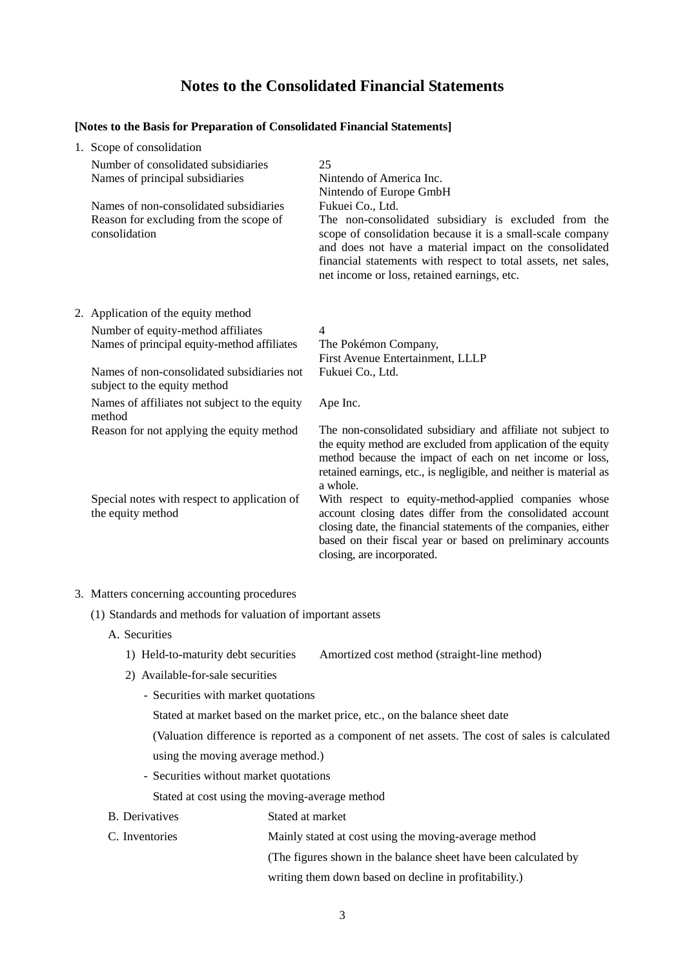# **Notes to the Consolidated Financial Statements**

#### **[Notes to the Basis for Preparation of Consolidated Financial Statements]**

| 1. Scope of consolidation                                                                         |                                                                                                                                                                                                                                                                                                                   |
|---------------------------------------------------------------------------------------------------|-------------------------------------------------------------------------------------------------------------------------------------------------------------------------------------------------------------------------------------------------------------------------------------------------------------------|
| Number of consolidated subsidiaries<br>Names of principal subsidiaries                            | 25<br>Nintendo of America Inc.<br>Nintendo of Europe GmbH                                                                                                                                                                                                                                                         |
| Names of non-consolidated subsidiaries<br>Reason for excluding from the scope of<br>consolidation | Fukuei Co., Ltd.<br>The non-consolidated subsidiary is excluded from the<br>scope of consolidation because it is a small-scale company<br>and does not have a material impact on the consolidated<br>financial statements with respect to total assets, net sales,<br>net income or loss, retained earnings, etc. |
| 2. Application of the equity method                                                               |                                                                                                                                                                                                                                                                                                                   |
| Number of equity-method affiliates<br>Names of principal equity-method affiliates                 | $\overline{4}$<br>The Pokémon Company,<br>First Avenue Entertainment, LLLP                                                                                                                                                                                                                                        |
| Names of non-consolidated subsidiaries not<br>subject to the equity method                        | Fukuei Co., Ltd.                                                                                                                                                                                                                                                                                                  |
| Names of affiliates not subject to the equity<br>method                                           | Ape Inc.                                                                                                                                                                                                                                                                                                          |
| Reason for not applying the equity method                                                         | The non-consolidated subsidiary and affiliate not subject to<br>the equity method are excluded from application of the equity<br>method because the impact of each on net income or loss,<br>retained earnings, etc., is negligible, and neither is material as<br>a whole.                                       |
| Special notes with respect to application of<br>the equity method                                 | With respect to equity-method-applied companies whose<br>account closing dates differ from the consolidated account<br>closing date, the financial statements of the companies, either<br>based on their fiscal year or based on preliminary accounts<br>closing, are incorporated.                               |
|                                                                                                   |                                                                                                                                                                                                                                                                                                                   |

- 3. Matters concerning accounting procedures
	- (1) Standards and methods for valuation of important assets
		- A. Securities
			- 1) Held-to-maturity debt securities Amortized cost method (straight-line method)
			- 2) Available-for-sale securities
				- Securities with market quotations

Stated at market based on the market price, etc., on the balance sheet date

(Valuation difference is reported as a component of net assets. The cost of sales is calculated using the moving average method.)

- Securities without market quotations

Stated at cost using the moving-average method

- B. Derivatives Stated at market
- C. Inventories Mainly stated at cost using the moving-average method

(The figures shown in the balance sheet have been calculated by

writing them down based on decline in profitability.)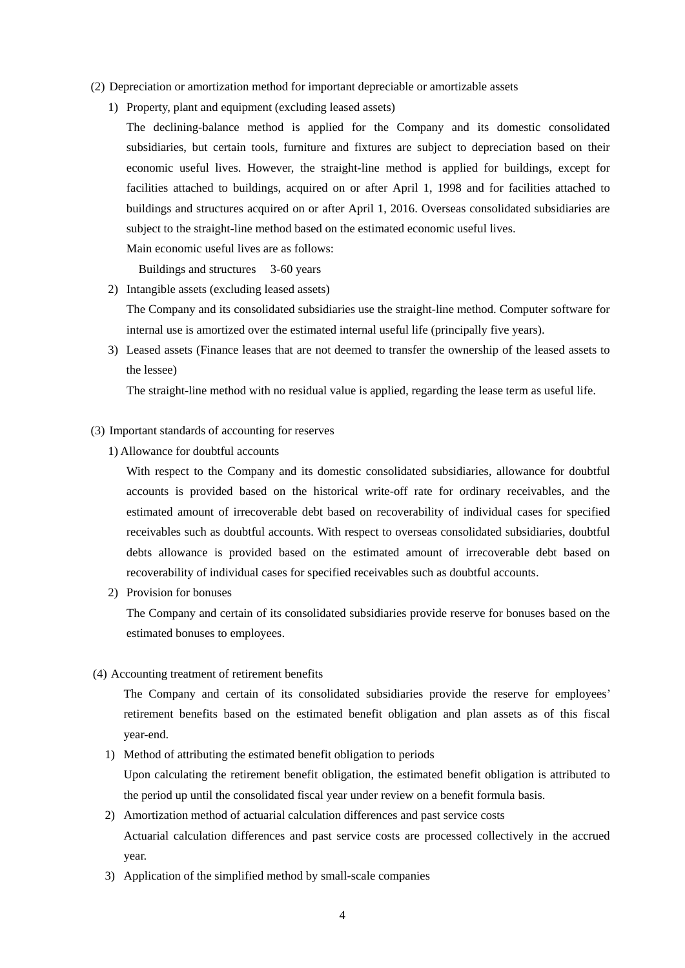- (2) Depreciation or amortization method for important depreciable or amortizable assets
	- 1) Property, plant and equipment (excluding leased assets)
		- The declining-balance method is applied for the Company and its domestic consolidated subsidiaries, but certain tools, furniture and fixtures are subject to depreciation based on their economic useful lives. However, the straight-line method is applied for buildings, except for facilities attached to buildings, acquired on or after April 1, 1998 and for facilities attached to buildings and structures acquired on or after April 1, 2016. Overseas consolidated subsidiaries are subject to the straight-line method based on the estimated economic useful lives.

Main economic useful lives are as follows:

Buildings and structures 3-60 years

2) Intangible assets (excluding leased assets)

The Company and its consolidated subsidiaries use the straight-line method. Computer software for internal use is amortized over the estimated internal useful life (principally five years).

3) Leased assets (Finance leases that are not deemed to transfer the ownership of the leased assets to the lessee)

The straight-line method with no residual value is applied, regarding the lease term as useful life.

- (3) Important standards of accounting for reserves
	- 1) Allowance for doubtful accounts

With respect to the Company and its domestic consolidated subsidiaries, allowance for doubtful accounts is provided based on the historical write-off rate for ordinary receivables, and the estimated amount of irrecoverable debt based on recoverability of individual cases for specified receivables such as doubtful accounts. With respect to overseas consolidated subsidiaries, doubtful debts allowance is provided based on the estimated amount of irrecoverable debt based on recoverability of individual cases for specified receivables such as doubtful accounts.

2) Provision for bonuses

The Company and certain of its consolidated subsidiaries provide reserve for bonuses based on the estimated bonuses to employees.

(4) Accounting treatment of retirement benefits

The Company and certain of its consolidated subsidiaries provide the reserve for employees' retirement benefits based on the estimated benefit obligation and plan assets as of this fiscal year-end.

- 1) Method of attributing the estimated benefit obligation to periods Upon calculating the retirement benefit obligation, the estimated benefit obligation is attributed to the period up until the consolidated fiscal year under review on a benefit formula basis.
- 2) Amortization method of actuarial calculation differences and past service costs Actuarial calculation differences and past service costs are processed collectively in the accrued year.
- 3) Application of the simplified method by small-scale companies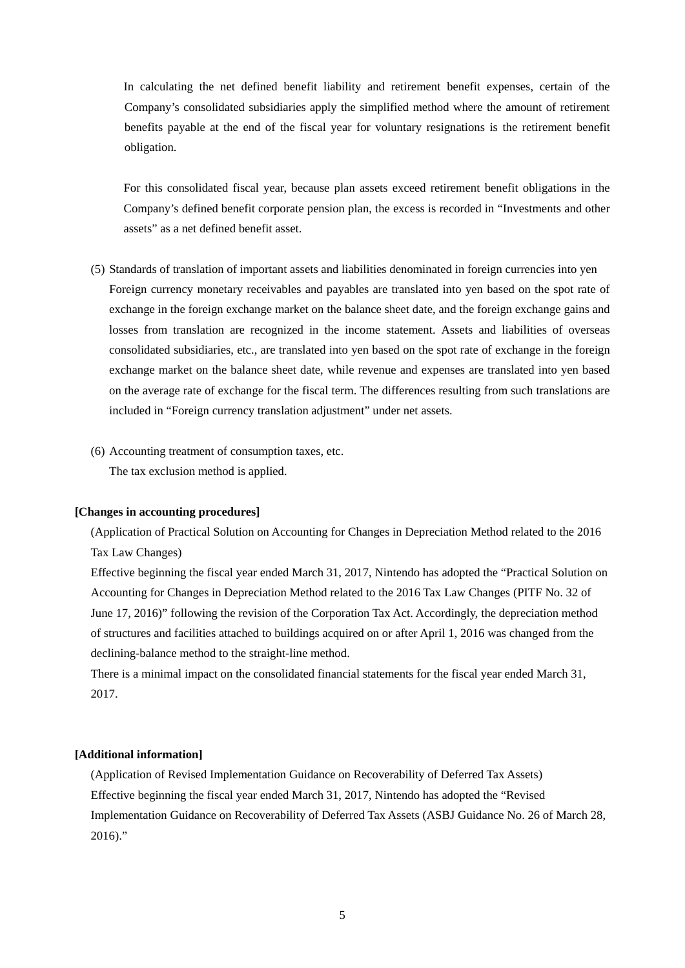In calculating the net defined benefit liability and retirement benefit expenses, certain of the Company's consolidated subsidiaries apply the simplified method where the amount of retirement benefits payable at the end of the fiscal year for voluntary resignations is the retirement benefit obligation.

For this consolidated fiscal year, because plan assets exceed retirement benefit obligations in the Company's defined benefit corporate pension plan, the excess is recorded in "Investments and other assets" as a net defined benefit asset.

- (5) Standards of translation of important assets and liabilities denominated in foreign currencies into yen Foreign currency monetary receivables and payables are translated into yen based on the spot rate of exchange in the foreign exchange market on the balance sheet date, and the foreign exchange gains and losses from translation are recognized in the income statement. Assets and liabilities of overseas consolidated subsidiaries, etc., are translated into yen based on the spot rate of exchange in the foreign exchange market on the balance sheet date, while revenue and expenses are translated into yen based on the average rate of exchange for the fiscal term. The differences resulting from such translations are included in "Foreign currency translation adjustment" under net assets.
- (6) Accounting treatment of consumption taxes, etc.

The tax exclusion method is applied.

### **[Changes in accounting procedures]**

(Application of Practical Solution on Accounting for Changes in Depreciation Method related to the 2016 Tax Law Changes)

Effective beginning the fiscal year ended March 31, 2017, Nintendo has adopted the "Practical Solution on Accounting for Changes in Depreciation Method related to the 2016 Tax Law Changes (PITF No. 32 of June 17, 2016)" following the revision of the Corporation Tax Act. Accordingly, the depreciation method of structures and facilities attached to buildings acquired on or after April 1, 2016 was changed from the declining-balance method to the straight-line method.

There is a minimal impact on the consolidated financial statements for the fiscal year ended March 31, 2017.

### **[Additional information]**

(Application of Revised Implementation Guidance on Recoverability of Deferred Tax Assets) Effective beginning the fiscal year ended March 31, 2017, Nintendo has adopted the "Revised Implementation Guidance on Recoverability of Deferred Tax Assets (ASBJ Guidance No. 26 of March 28,  $2016$ ."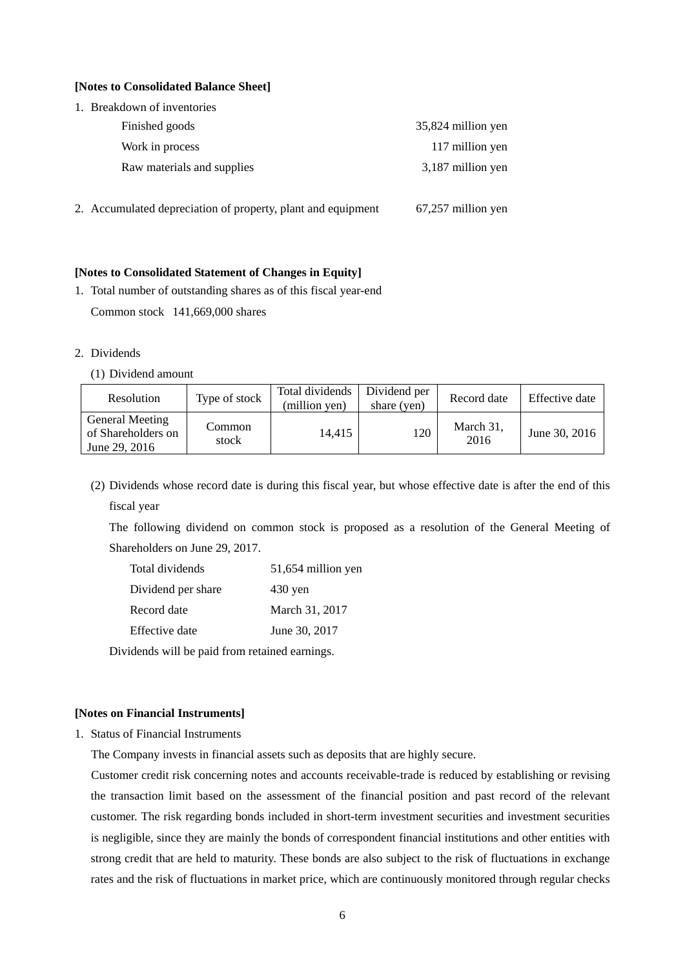### **[Notes to Consolidated Balance Sheet]**

| 1. Breakdown of inventories                                  |                    |
|--------------------------------------------------------------|--------------------|
| Finished goods                                               | 35,824 million yen |
| Work in process                                              | 117 million yen    |
| Raw materials and supplies                                   | 3,187 million yen  |
| 2. Accumulated depreciation of property, plant and equipment | 67,257 million yen |

### **[Notes to Consolidated Statement of Changes in Equity]**

- 1. Total number of outstanding shares as of this fiscal year-end Common stock 141,669,000 shares
- 2. Dividends
	- (1) Dividend amount

| Resolution                                                    | Type of stock   | Total dividends<br>(million yen) | Dividend per<br>share (yen) | Record date       | Effective date |
|---------------------------------------------------------------|-----------------|----------------------------------|-----------------------------|-------------------|----------------|
| <b>General Meeting</b><br>of Shareholders on<br>June 29, 2016 | Common<br>stock | 14.415                           | 120                         | March 31,<br>2016 | June 30, 2016  |

(2) Dividends whose record date is during this fiscal year, but whose effective date is after the end of this fiscal year

The following dividend on common stock is proposed as a resolution of the General Meeting of Shareholders on June 29, 2017.

| Total dividends    | 51,654 million yen |
|--------------------|--------------------|
| Dividend per share | $430$ yen          |
| Record date        | March 31, 2017     |
| Effective date     | June 30, 2017      |

Dividends will be paid from retained earnings.

### **[Notes on Financial Instruments]**

1. Status of Financial Instruments

The Company invests in financial assets such as deposits that are highly secure.

Customer credit risk concerning notes and accounts receivable-trade is reduced by establishing or revising the transaction limit based on the assessment of the financial position and past record of the relevant customer. The risk regarding bonds included in short-term investment securities and investment securities is negligible, since they are mainly the bonds of correspondent financial institutions and other entities with strong credit that are held to maturity. These bonds are also subject to the risk of fluctuations in exchange rates and the risk of fluctuations in market price, which are continuously monitored through regular checks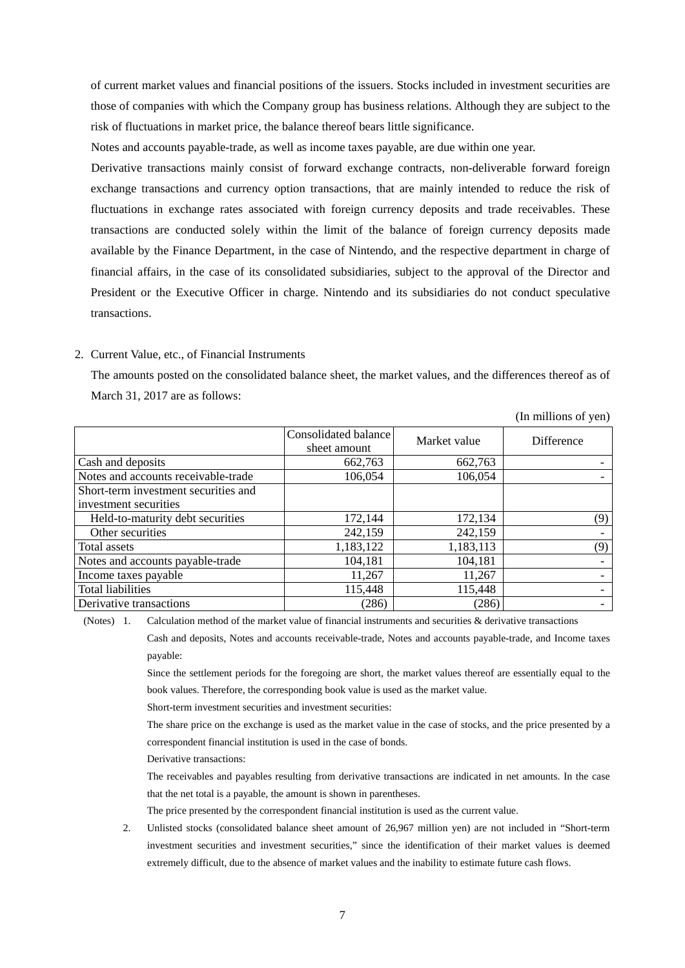of current market values and financial positions of the issuers. Stocks included in investment securities are those of companies with which the Company group has business relations. Although they are subject to the risk of fluctuations in market price, the balance thereof bears little significance.

Notes and accounts payable-trade, as well as income taxes payable, are due within one year.

Derivative transactions mainly consist of forward exchange contracts, non-deliverable forward foreign exchange transactions and currency option transactions, that are mainly intended to reduce the risk of fluctuations in exchange rates associated with foreign currency deposits and trade receivables. These transactions are conducted solely within the limit of the balance of foreign currency deposits made available by the Finance Department, in the case of Nintendo, and the respective department in charge of financial affairs, in the case of its consolidated subsidiaries, subject to the approval of the Director and President or the Executive Officer in charge. Nintendo and its subsidiaries do not conduct speculative transactions.

### 2. Current Value, etc., of Financial Instruments

The amounts posted on the consolidated balance sheet, the market values, and the differences thereof as of March 31, 2017 are as follows:

(In millions of yen)

|                                      | Consolidated balance<br>sheet amount | Market value | <b>Difference</b> |
|--------------------------------------|--------------------------------------|--------------|-------------------|
| Cash and deposits                    | 662,763                              | 662,763      |                   |
| Notes and accounts receivable-trade  | 106,054                              | 106,054      |                   |
| Short-term investment securities and |                                      |              |                   |
| investment securities                |                                      |              |                   |
| Held-to-maturity debt securities     | 172,144                              | 172,134      | (9)               |
| Other securities                     | 242,159                              | 242,159      |                   |
| Total assets                         | 1,183,122                            | 1,183,113    | (9)               |
| Notes and accounts payable-trade     | 104,181                              | 104,181      |                   |
| Income taxes payable                 | 11,267                               | 11,267       |                   |
| <b>Total liabilities</b>             | 115,448                              | 115,448      |                   |
| Derivative transactions              | (286)                                | (286)        |                   |

(Notes) 1. Calculation method of the market value of financial instruments and securities  $\&$  derivative transactions

Cash and deposits, Notes and accounts receivable-trade, Notes and accounts payable-trade, and Income taxes payable:

Since the settlement periods for the foregoing are short, the market values thereof are essentially equal to the book values. Therefore, the corresponding book value is used as the market value.

Short-term investment securities and investment securities:

The share price on the exchange is used as the market value in the case of stocks, and the price presented by a correspondent financial institution is used in the case of bonds.

Derivative transactions:

The receivables and payables resulting from derivative transactions are indicated in net amounts. In the case that the net total is a payable, the amount is shown in parentheses.

The price presented by the correspondent financial institution is used as the current value.

 2. Unlisted stocks (consolidated balance sheet amount of 26,967 million yen) are not included in "Short-term investment securities and investment securities," since the identification of their market values is deemed extremely difficult, due to the absence of market values and the inability to estimate future cash flows.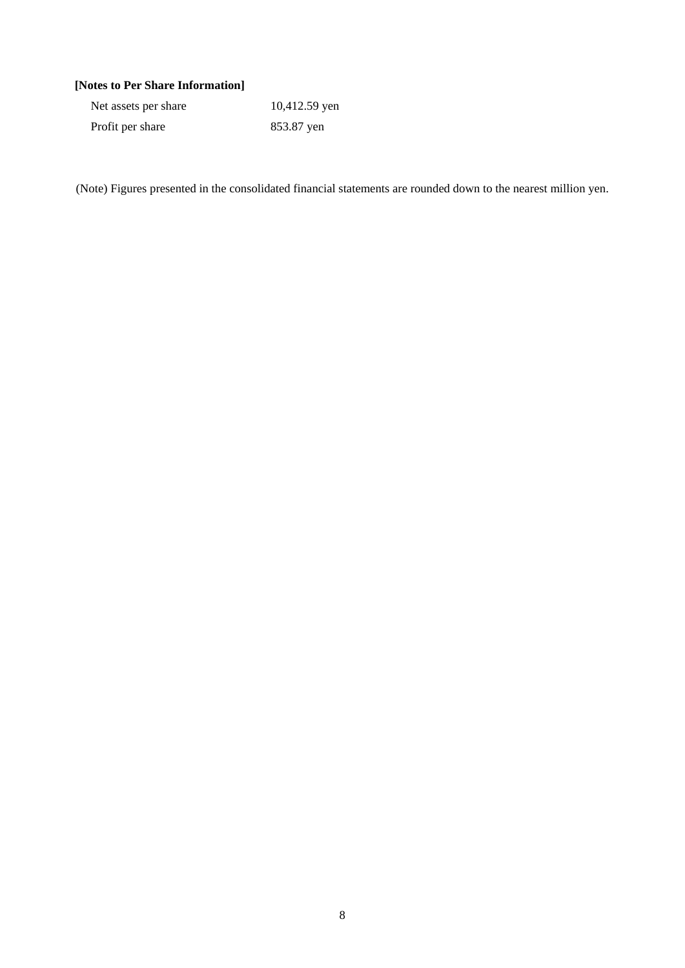## **[Notes to Per Share Information]**

| Net assets per share | 10,412.59 yen |
|----------------------|---------------|
| Profit per share     | 853.87 yen    |

(Note) Figures presented in the consolidated financial statements are rounded down to the nearest million yen.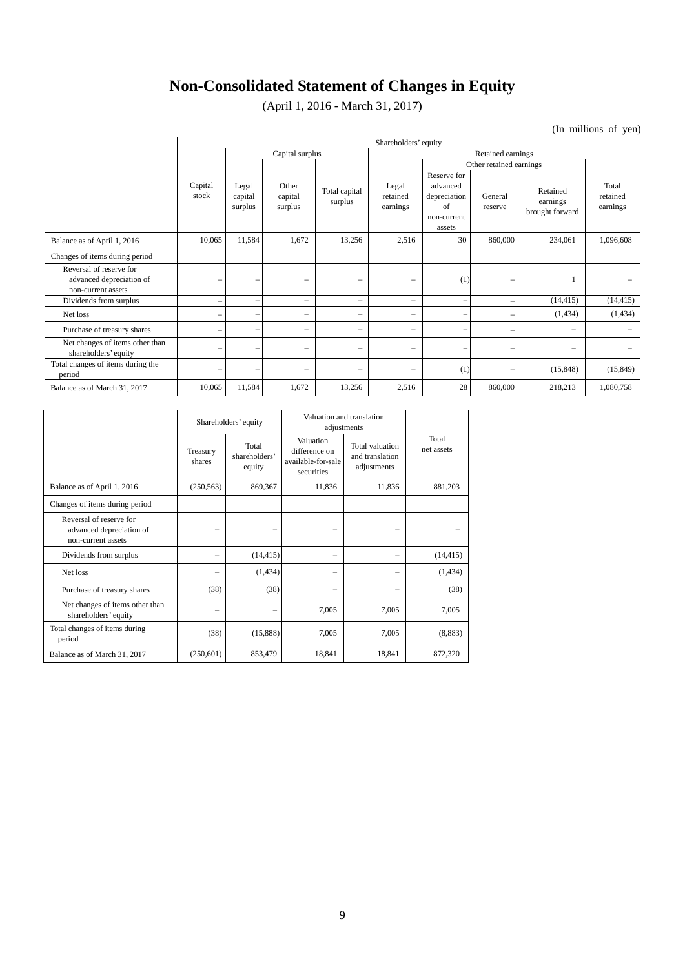# **Non-Consolidated Statement of Changes in Equity**

(April 1, 2016 - March 31, 2017)

(In millions of yen)

|                                                                           | Shareholders' equity |                             |                             |                          |                               |                                                                        |                                                                           |                                         |                               |
|---------------------------------------------------------------------------|----------------------|-----------------------------|-----------------------------|--------------------------|-------------------------------|------------------------------------------------------------------------|---------------------------------------------------------------------------|-----------------------------------------|-------------------------------|
|                                                                           |                      | Capital surplus             |                             |                          | Retained earnings             |                                                                        |                                                                           |                                         |                               |
|                                                                           |                      |                             |                             |                          |                               |                                                                        | Other retained earnings                                                   |                                         |                               |
|                                                                           | Capital<br>stock     | Legal<br>capital<br>surplus | Other<br>capital<br>surplus | Total capital<br>surplus | Legal<br>retained<br>earnings | Reserve for<br>advanced<br>depreciation<br>of<br>non-current<br>assets | General<br>reserve                                                        | Retained<br>earnings<br>brought forward | Total<br>retained<br>earnings |
| Balance as of April 1, 2016                                               | 10,065               | 11,584                      | 1,672                       | 13,256                   | 2,516                         | 30                                                                     | 860,000                                                                   | 234,061                                 | 1,096,608                     |
| Changes of items during period                                            |                      |                             |                             |                          |                               |                                                                        |                                                                           |                                         |                               |
| Reversal of reserve for<br>advanced depreciation of<br>non-current assets | -                    | $\overline{\phantom{m}}$    | $\overline{\phantom{0}}$    | -                        | -                             | (1)                                                                    | $\qquad \qquad -$                                                         |                                         |                               |
| Dividends from surplus                                                    | -                    | $\overline{\phantom{a}}$    |                             |                          | -                             |                                                                        | $\qquad \qquad$                                                           | (14, 415)                               | (14, 415)                     |
| Net loss                                                                  | -                    | $\overline{\phantom{a}}$    |                             |                          |                               |                                                                        | $\overline{\phantom{m}}$                                                  | (1,434)                                 | (1,434)                       |
| Purchase of treasury shares                                               | -                    | $\overline{\phantom{a}}$    | $\overline{\phantom{0}}$    |                          | $\qquad \qquad -$             |                                                                        | $\hspace{1.0cm} \rule{1.5cm}{0.15cm} \hspace{1.0cm} \rule{1.5cm}{0.15cm}$ | $\overline{\phantom{0}}$                |                               |
| Net changes of items other than<br>shareholders' equity                   | -                    | $\overline{\phantom{a}}$    | $\overline{\phantom{0}}$    | $\overline{\phantom{0}}$ | -                             |                                                                        | $\qquad \qquad$                                                           | $\overline{\phantom{0}}$                |                               |
| Total changes of items during the<br>period                               | -                    | $\overline{\phantom{a}}$    | $\overline{\phantom{0}}$    | $\overline{\phantom{0}}$ | -                             | (1)                                                                    | $\overline{\phantom{0}}$                                                  | (15, 848)                               | (15, 849)                     |
| Balance as of March 31, 2017                                              | 10,065               | 11,584                      | 1,672                       | 13,256                   | 2,516                         | 28                                                                     | 860,000                                                                   | 218,213                                 | 1,080,758                     |

|                                                                           | Shareholders' equity |                                  | Valuation and translation<br>adjustments                       |                                                   |                     |
|---------------------------------------------------------------------------|----------------------|----------------------------------|----------------------------------------------------------------|---------------------------------------------------|---------------------|
|                                                                           | Treasury<br>shares   | Total<br>shareholders'<br>equity | Valuation<br>difference on<br>available-for-sale<br>securities | Total valuation<br>and translation<br>adjustments | Total<br>net assets |
| Balance as of April 1, 2016                                               | (250, 563)           | 869,367                          | 11,836                                                         | 11,836                                            | 881,203             |
| Changes of items during period                                            |                      |                                  |                                                                |                                                   |                     |
| Reversal of reserve for<br>advanced depreciation of<br>non-current assets |                      |                                  |                                                                |                                                   |                     |
| Dividends from surplus                                                    |                      | (14, 415)                        |                                                                |                                                   | (14, 415)           |
| Net loss                                                                  |                      | (1, 434)                         |                                                                |                                                   | (1, 434)            |
| Purchase of treasury shares                                               | (38)                 | (38)                             |                                                                |                                                   | (38)                |
| Net changes of items other than<br>shareholders' equity                   |                      |                                  | 7,005                                                          | 7,005                                             | 7,005               |
| Total changes of items during<br>period                                   | (38)                 | (15,888)                         | 7,005                                                          | 7,005                                             | (8,883)             |
| Balance as of March 31, 2017                                              | (250,601)            | 853,479                          | 18,841                                                         | 18,841                                            | 872,320             |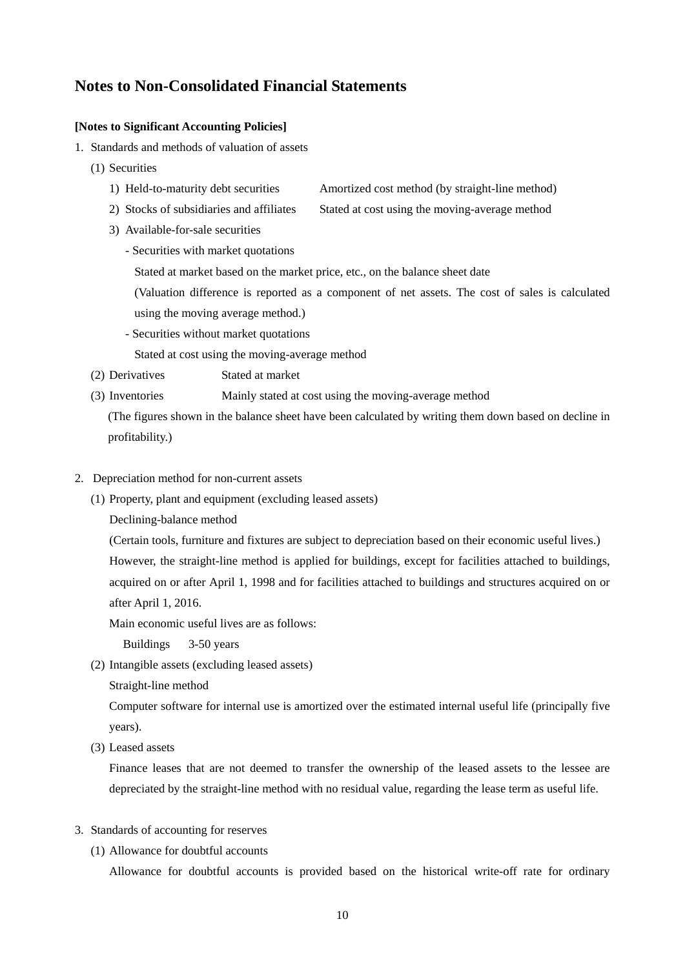## **Notes to Non-Consolidated Financial Statements**

### **[Notes to Significant Accounting Policies]**

- 1. Standards and methods of valuation of assets
	- (1) Securities
		- 1) Held-to-maturity debt securities Amortized cost method (by straight-line method)
		- 2) Stocks of subsidiaries and affiliates Stated at cost using the moving-average method
		- 3) Available-for-sale securities
			- Securities with market quotations
				- Stated at market based on the market price, etc., on the balance sheet date
				- (Valuation difference is reported as a component of net assets. The cost of sales is calculated using the moving average method.)
			- Securities without market quotations

Stated at cost using the moving-average method

- (2) Derivatives Stated at market
- (3) Inventories Mainly stated at cost using the moving-average method

(The figures shown in the balance sheet have been calculated by writing them down based on decline in profitability.)

- 2. Depreciation method for non-current assets
	- (1) Property, plant and equipment (excluding leased assets)

Declining-balance method

(Certain tools, furniture and fixtures are subject to depreciation based on their economic useful lives.) However, the straight-line method is applied for buildings, except for facilities attached to buildings, acquired on or after April 1, 1998 and for facilities attached to buildings and structures acquired on or after April 1, 2016.

Main economic useful lives are as follows:

Buildings 3-50 years

- (2) Intangible assets (excluding leased assets)
	- Straight-line method

Computer software for internal use is amortized over the estimated internal useful life (principally five years).

(3) Leased assets

Finance leases that are not deemed to transfer the ownership of the leased assets to the lessee are depreciated by the straight-line method with no residual value, regarding the lease term as useful life.

- 3. Standards of accounting for reserves
	- (1) Allowance for doubtful accounts

Allowance for doubtful accounts is provided based on the historical write-off rate for ordinary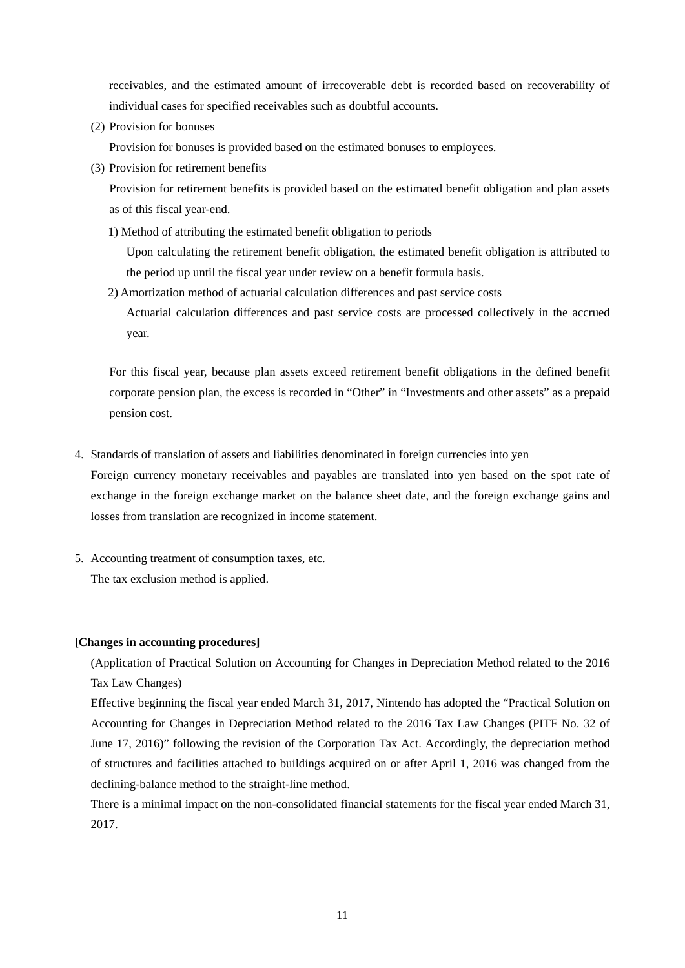receivables, and the estimated amount of irrecoverable debt is recorded based on recoverability of individual cases for specified receivables such as doubtful accounts.

(2) Provision for bonuses

Provision for bonuses is provided based on the estimated bonuses to employees.

(3) Provision for retirement benefits

Provision for retirement benefits is provided based on the estimated benefit obligation and plan assets as of this fiscal year-end.

1) Method of attributing the estimated benefit obligation to periods

Upon calculating the retirement benefit obligation, the estimated benefit obligation is attributed to the period up until the fiscal year under review on a benefit formula basis.

2) Amortization method of actuarial calculation differences and past service costs

Actuarial calculation differences and past service costs are processed collectively in the accrued year.

For this fiscal year, because plan assets exceed retirement benefit obligations in the defined benefit corporate pension plan, the excess is recorded in "Other" in "Investments and other assets" as a prepaid pension cost.

4. Standards of translation of assets and liabilities denominated in foreign currencies into yen

Foreign currency monetary receivables and payables are translated into yen based on the spot rate of exchange in the foreign exchange market on the balance sheet date, and the foreign exchange gains and losses from translation are recognized in income statement.

5. Accounting treatment of consumption taxes, etc. The tax exclusion method is applied.

### **[Changes in accounting procedures]**

(Application of Practical Solution on Accounting for Changes in Depreciation Method related to the 2016 Tax Law Changes)

Effective beginning the fiscal year ended March 31, 2017, Nintendo has adopted the "Practical Solution on Accounting for Changes in Depreciation Method related to the 2016 Tax Law Changes (PITF No. 32 of June 17, 2016)" following the revision of the Corporation Tax Act. Accordingly, the depreciation method of structures and facilities attached to buildings acquired on or after April 1, 2016 was changed from the declining-balance method to the straight-line method.

There is a minimal impact on the non-consolidated financial statements for the fiscal year ended March 31, 2017.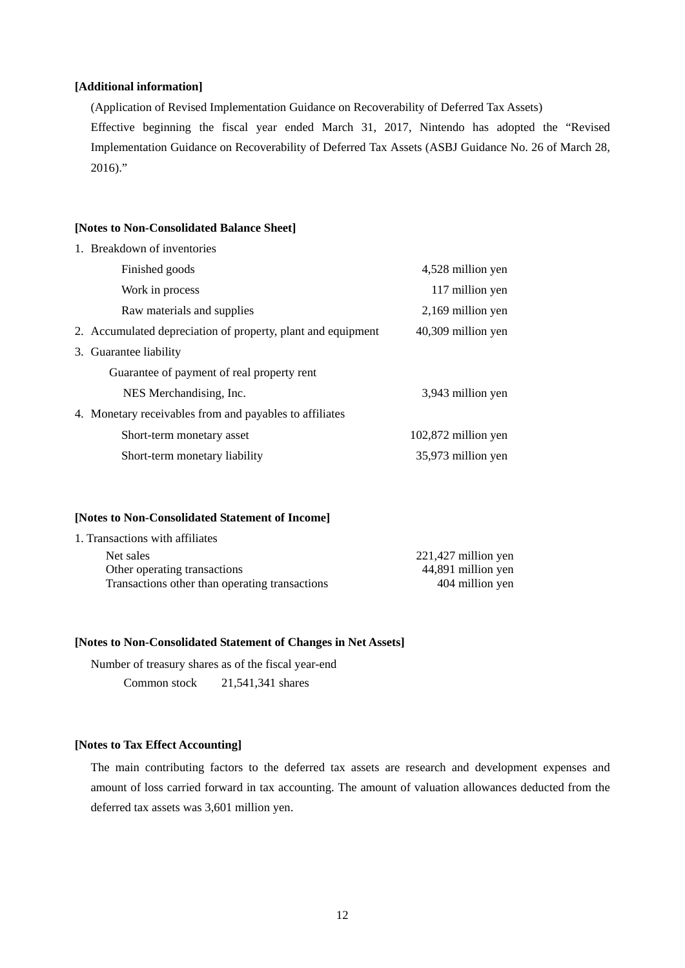### **[Additional information]**

(Application of Revised Implementation Guidance on Recoverability of Deferred Tax Assets) Effective beginning the fiscal year ended March 31, 2017, Nintendo has adopted the "Revised Implementation Guidance on Recoverability of Deferred Tax Assets (ASBJ Guidance No. 26 of March 28,  $2016$ ."

#### **[Notes to Non-Consolidated Balance Sheet]**

| 1. Breakdown of inventories                                  |                     |
|--------------------------------------------------------------|---------------------|
| Finished goods                                               | 4,528 million yen   |
| Work in process                                              | 117 million yen     |
| Raw materials and supplies                                   | 2,169 million yen   |
| 2. Accumulated depreciation of property, plant and equipment | 40,309 million yen  |
| 3. Guarantee liability                                       |                     |
| Guarantee of payment of real property rent                   |                     |
| NES Merchandising, Inc.                                      | 3,943 million yen   |
| 4. Monetary receivables from and payables to affiliates      |                     |
| Short-term monetary asset                                    | 102,872 million yen |
| Short-term monetary liability                                | 35,973 million yen  |

### **[Notes to Non-Consolidated Statement of Income]**

| 1. Transactions with affiliates                |                     |
|------------------------------------------------|---------------------|
| Net sales                                      | 221,427 million yen |
| Other operating transactions                   | 44,891 million yen  |
| Transactions other than operating transactions | 404 million yen     |

#### **[Notes to Non-Consolidated Statement of Changes in Net Assets]**

Number of treasury shares as of the fiscal year-end

Common stock 21,541,341 shares

### **[Notes to Tax Effect Accounting]**

The main contributing factors to the deferred tax assets are research and development expenses and amount of loss carried forward in tax accounting. The amount of valuation allowances deducted from the deferred tax assets was 3,601 million yen.